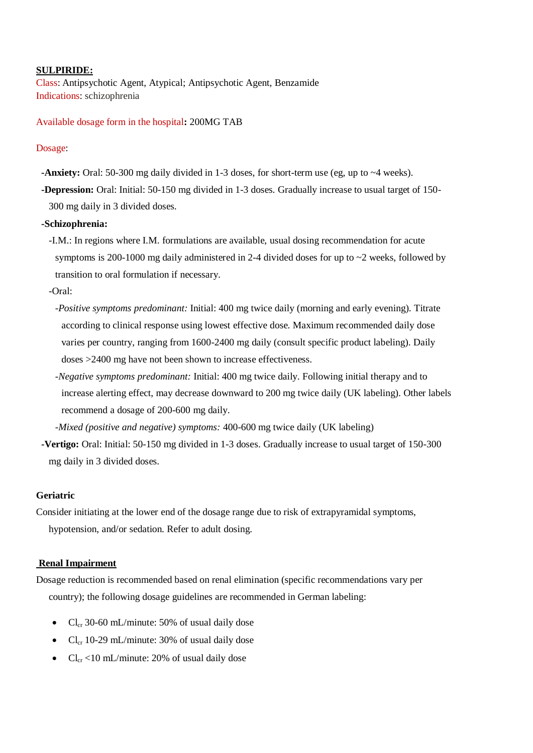# **SULPIRIDE:**

Class: [Antipsychotic Agent, Atypical;](http://online.lexi.com/lco/action/search/pharmacat/multinat_f?q=Antipsychotic+Agent%2C+Atypical) [Antipsychotic Agent, Benzamide](http://online.lexi.com/lco/action/search/pharmacat/multinat_f?q=Antipsychotic+Agent%2C+Benzamide) Indications: schizophrenia

## Available dosage form in the hospital**:** 200MG TAB

### Dosage:

- **-Anxiety:** Oral: 50-300 mg daily divided in 1-3 doses, for short-term use (eg, up to ~4 weeks).
- **-Depression:** Oral: Initial: 50-150 mg divided in 1-3 doses. Gradually increase to usual target of 150- 300 mg daily in 3 divided doses.

#### **-Schizophrenia:**

-I.M.: In regions where I.M. formulations are available, usual dosing recommendation for acute symptoms is 200-1000 mg daily administered in 2-4 divided doses for up to  $\sim$ 2 weeks, followed by transition to oral formulation if necessary.

-Oral:

- *-Positive symptoms predominant:* Initial: 400 mg twice daily (morning and early evening). Titrate according to clinical response using lowest effective dose. Maximum recommended daily dose varies per country, ranging from 1600-2400 mg daily (consult specific product labeling). Daily doses >2400 mg have not been shown to increase effectiveness.
- *-Negative symptoms predominant:* Initial: 400 mg twice daily. Following initial therapy and to increase alerting effect, may decrease downward to 200 mg twice daily (UK labeling). Other labels recommend a dosage of 200-600 mg daily.

*-Mixed (positive and negative) symptoms:* 400-600 mg twice daily (UK labeling)

**-Vertigo:** Oral: Initial: 50-150 mg divided in 1-3 doses. Gradually increase to usual target of 150-300 mg daily in 3 divided doses.

## **Geriatric**

Consider initiating at the lower end of the dosage range due to risk of extrapyramidal symptoms, hypotension, and/or sedation. Refer to adult dosing.

### **Renal Impairment**

Dosage reduction is recommended based on renal elimination (specific recommendations vary per country); the following dosage guidelines are recommended in German labeling:

- Cl<sub>cr</sub> 30-60 mL/minute: 50% of usual daily dose
- $Cl_{cr}$  10-29 mL/minute: 30% of usual daily dose
- $Cl_{cr}$  <10 mL/minute: 20% of usual daily dose